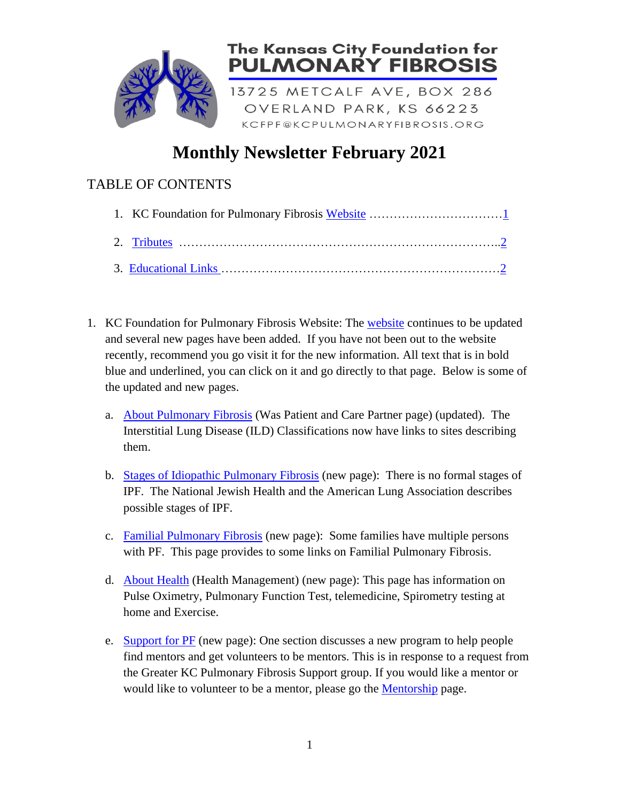

## **Monthly Newsletter February 2021**

## TABLE OF CONTENTS

- <span id="page-0-0"></span>1. KC Foundation for Pulmonary Fibrosis Website: The [website](https://www.kcpulmonaryfibrosis.org/) continues to be updated and several new pages have been added. If you have not been out to the website recently, recommend you go visit it for the new information. All text that is in bold blue and underlined, you can click on it and go directly to that page. Below is some of the updated and new pages.
	- a. [About Pulmonary Fibrosis](https://www.kcpulmonaryfibrosis.org/patients-care-partners) (Was Patient and Care Partner page) (updated). The Interstitial Lung Disease (ILD) Classifications now have links to sites describing them.
	- b. [Stages of Idiopathic Pulmonary Fibrosis](https://www.kcpulmonaryfibrosis.org/stages-of-idiopathic-pulmonary-fibr) (new page): There is no formal stages of IPF. The National Jewish Health and the American Lung Association describes possible stages of IPF.
	- c. [Familial Pulmonary Fibrosis](https://www.kcpulmonaryfibrosis.org/familial-pulmonary-fibrosis) (new page): Some families have multiple persons with PF. This page provides to some links on Familial Pulmonary Fibrosis.
	- d. [About Health](https://www.kcpulmonaryfibrosis.org/about-health) (Health Management) (new page): This page has information on Pulse Oximetry, Pulmonary Function Test, telemedicine, Spirometry testing at home and Exercise.
	- e. [Support for PF](https://www.kcpulmonaryfibrosis.org/support-for-pf) (new page): One section discusses a new program to help people find mentors and get volunteers to be mentors. This is in response to a request from the Greater KC Pulmonary Fibrosis Support group. If you would like a mentor or would like to volunteer to be a mentor, please go the [Mentorship](https://www.kcpulmonaryfibrosis.org/mentorship) page.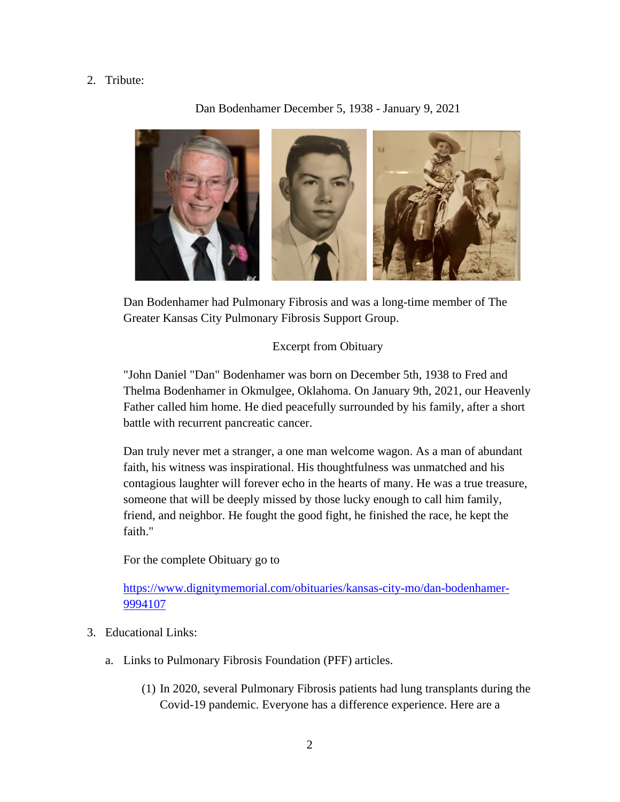## <span id="page-1-0"></span>2. Tribute:



Dan Bodenhamer December 5, 1938 - January 9, 2021

Dan Bodenhamer had Pulmonary Fibrosis and was a long-time member of The Greater Kansas City Pulmonary Fibrosis Support Group.

## Excerpt from Obituary

"John Daniel "Dan" Bodenhamer was born on December 5th, 1938 to Fred and Thelma Bodenhamer in Okmulgee, Oklahoma. On January 9th, 2021, our Heavenly Father called him home. He died peacefully surrounded by his family, after a short battle with recurrent pancreatic cancer.

Dan truly never met a stranger, a one man welcome wagon. As a man of abundant faith, his witness was inspirational. His thoughtfulness was unmatched and his contagious laughter will forever echo in the hearts of many. He was a true treasure, someone that will be deeply missed by those lucky enough to call him family, friend, and neighbor. He fought the good fight, he finished the race, he kept the faith."

For the complete Obituary go to

[https://www.dignitymemorial.com/obituaries/kansas-city-mo/dan-bodenhamer-](https://www.dignitymemorial.com/obituaries/kansas-city-mo/dan-bodenhamer-9994107)[9994107](https://www.dignitymemorial.com/obituaries/kansas-city-mo/dan-bodenhamer-9994107)

- <span id="page-1-1"></span>3. Educational Links:
	- a. Links to Pulmonary Fibrosis Foundation (PFF) articles.
		- (1) In 2020, several Pulmonary Fibrosis patients had lung transplants during the Covid-19 pandemic. Everyone has a difference experience. Here are a